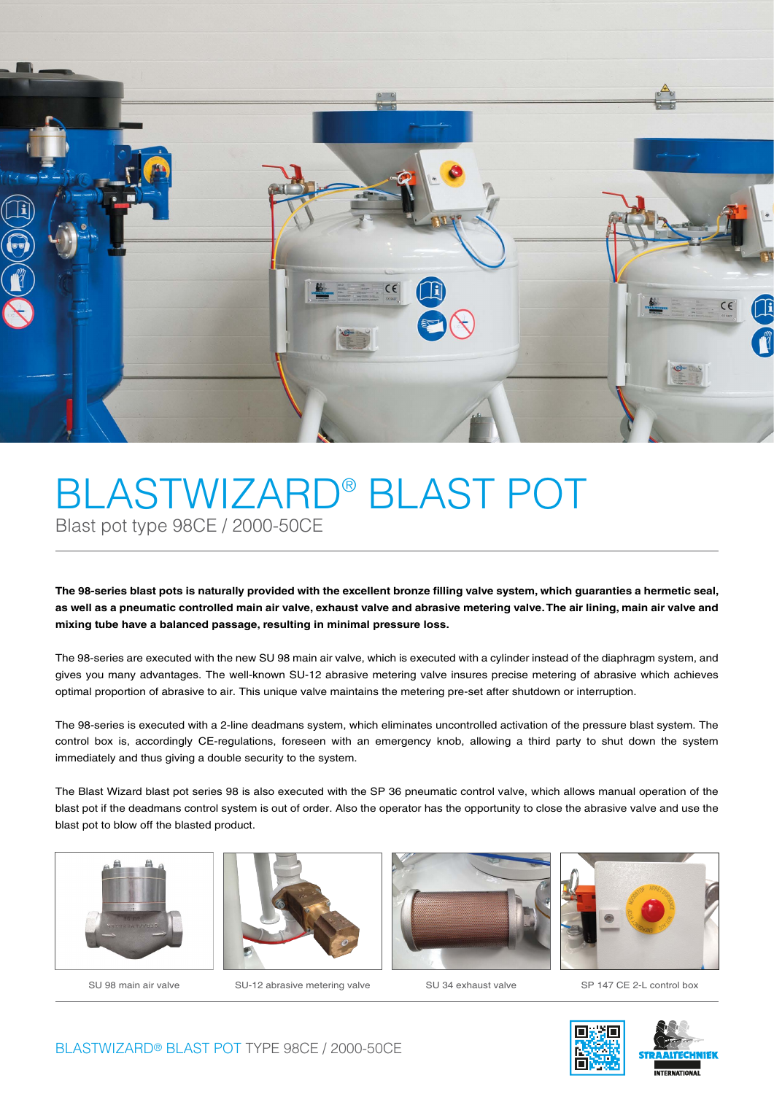

## BLASTWIZARD® BLAST POT Blast pot type 98CE / 2000-50CE

The 98-series blast pots is naturally provided with the excellent bronze filling valve system, which quaranties a hermetic seal, **as well as a pneumatic controlled main air valve, exhaust valve and abrasive metering valve. The air lining, main air valve and mixing tube have a balanced passage, resulting in minimal pressure loss.**

The 98-series are executed with the new SU 98 main air valve, which is executed with a cylinder instead of the diaphragm system, and gives you many advantages. The well-known SU-12 abrasive metering valve insures precise metering of abrasive which achieves optimal proportion of abrasive to air. This unique valve maintains the metering pre-set after shutdown or interruption.

The 98-series is executed with a 2-line deadmans system, which eliminates uncontrolled activation of the pressure blast system. The control box is, accordingly CE-regulations, foreseen with an emergency knob, allowing a third party to shut down the system immediately and thus giving a double security to the system.

The Blast Wizard blast pot series 98 is also executed with the SP 36 pneumatic control valve, which allows manual operation of the blast pot if the deadmans control system is out of order. Also the operator has the opportunity to close the abrasive valve and use the blast pot to blow off the blasted product.





SU 98 main air valve SU-12 abrasive metering valve SU 34 exhaust valve SP 147 CE 2-L control box